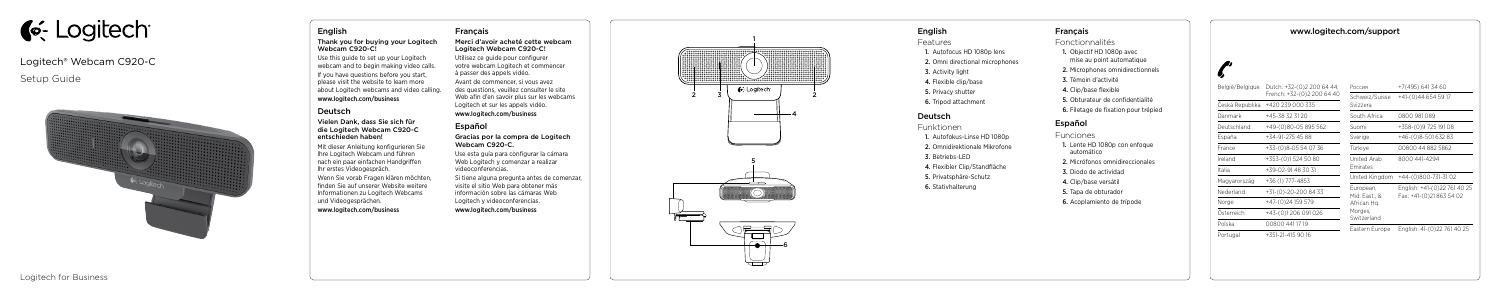# **C**: Logitech

# Logitech® Webcam C920-C

# Setup Guide



# English

#### Thank you for buying your Logitech Webcam C920-C!

Use this guide to set up your Logitech webcam and to begin making video calls.

If you have questions before you start, please visit the website to learn more about Logitech webcams and video calling.

## www.logitech.com/business

# Deutsch

#### Vielen Dank, dass Sie sich für die Logitech Webcam C920-C entschieden haben!

Mit dieser Anleitung konfigurieren Sie Ihre Logitech Webcam und führen nach ein paar einfachen Handgriffen Ihr erstes Videogespräch.

Wenn Sie vorab Fragen klären möchten, finden Sie auf unserer Website weitere Informationen zu Logitech Webcams und Videogesprächen.

www.logitech.com/business

# Français

#### Merci d'avoir acheté cette webcam Logitech Webcam C920-C!

Utilisez ce guide pour configurer votre webcam Logitech et commencer à passer des appels vidéo.

Avant de commencer, si vous avez des questions, veuillez consulter le site Web afin d'en savoir plus sur les webcams Logitech et sur les appels vidéo.

www.logitech.com/business

# Español

#### Gracias por la compra de Logitech Webcam C920-C.

Use esta guía para configurar la cámara Web Logitech y comenzar a realizar videoconferencias.

Si tiene alguna pregunta antes de comenzar, visite el sitio Web para obtener más información sobre las cámaras Web Logitech y videoconferencias.

www.logitech.com/business

www.logitech.com/support

| België/Belgique | Dutch: +32-(0)2 200 64 44;<br>French: +32-(0)2 200 64 40 | Россия                                                              | +7(495) 641 34 60                                        |
|-----------------|----------------------------------------------------------|---------------------------------------------------------------------|----------------------------------------------------------|
|                 | Česká Republika +420 239 000 335                         | Schweiz/Suisse<br>Svizzera                                          | $+41(0)446545917$                                        |
| Danmark         | +45-38 32 31 20                                          | South Africa                                                        | 0800 981 089                                             |
| Deutschland     | +49-(0)80-05 895 562                                     | Suomi                                                               | +358-(0)9 725 191 08                                     |
| España          | +34-91-275 45 88                                         | Sverige                                                             | +46-(0)8-501 632 83                                      |
| France          | +33-(0)8-05 54 07 36                                     | Türkiye                                                             | 00800 44 882 5862                                        |
| Ireland         | +353-(0)15245080                                         | United Arab<br><b>Emirates</b>                                      | 8000 441-4294                                            |
| Italia          | $+39-02-91483031$                                        |                                                                     |                                                          |
| Magyarország    | +36 (1) 777-4853                                         |                                                                     | United Kingdom +44-(0)800-731-31 02                      |
| Nederland       | +31-(0)-20-200 84 33                                     | European,<br>Mid. East., &<br>African Hq.<br>Morges,<br>Switzerland | English: +41-(0)22 761 40 25<br>Fax: +41-(0)21 863 54 02 |
| Norge           | +47-(0)24 159 579                                        |                                                                     |                                                          |
| Österreich      | +43-(0)1206 091 026                                      |                                                                     |                                                          |
| Polska          | 00800 441 17 19                                          |                                                                     |                                                          |
| Portugal        | $+351-21-4159016$                                        | Eastern Europe                                                      | English: 41-(0)22 761 40 25                              |

## English

Features

- 1. Autofocus HD 1080p lens
- 2. Omni directional microphones
- 3. Activity light
- 4. Flexible clip/base
- 5. Privacy shutter
- 6. Tripod attachment

# Deutsch

Funktionen

- 1. Autofokus-Linse HD 1080p
- 2. Omnidirektionale Mikrofone
- 3. Betriebs-LED
- 4. Flexibler Clip/Standfläche
- 5. Privatsphäre-Schutz
- 6. Stativhalterung

#### Français

Fonctionnalités

- 1. Objectif HD 1080p avec mise au point automatique
- 2. Microphones omnidirectionnels
- 3. Témoin d'activité
- 4. Clip/base flexible
- 5. Obturateur de confidentialité
- 6. Filetage de fixation pour trépied

#### Español

Funciones

- 1. Lente HD 1080p con enfoque automático
- 2. Micrófonos omnidireccionales
- 3. Diodo de actividad
- 4. Clip/base versátil
- 5. Tapa de obturador
- 6. Acoplamiento de trípode